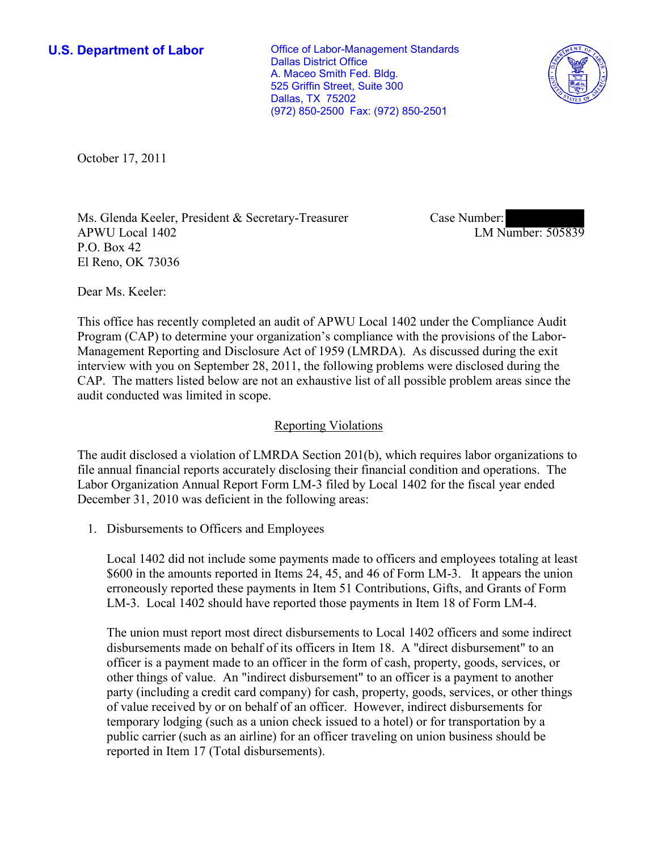**U.S. Department of Labor Conservative Conservative Conservative Conservative Conservative Conservative Conservative Conservative Conservative Conservative Conservative Conservative Conservative Conservative Conservative** Dallas District Office A. Maceo Smith Fed. Bldg. 525 Griffin Street, Suite 300 Dallas, TX 75202 (972) 850-2500 Fax: (972) 850-2501



October 17, 2011

Ms. Glenda Keeler, President & Secretary-Treasurer APWU Local 1402 P.O. Box 42 El Reno, OK 73036

Case Number: LM Number: 505839

Dear Ms. Keeler:

This office has recently completed an audit of APWU Local 1402 under the Compliance Audit Program (CAP) to determine your organization's compliance with the provisions of the Labor-Management Reporting and Disclosure Act of 1959 (LMRDA). As discussed during the exit interview with you on September 28, 2011, the following problems were disclosed during the CAP. The matters listed below are not an exhaustive list of all possible problem areas since the audit conducted was limited in scope.

## Reporting Violations

The audit disclosed a violation of LMRDA Section 201(b), which requires labor organizations to file annual financial reports accurately disclosing their financial condition and operations. The Labor Organization Annual Report Form LM-3 filed by Local 1402 for the fiscal year ended December 31, 2010 was deficient in the following areas:

1. Disbursements to Officers and Employees

Local 1402 did not include some payments made to officers and employees totaling at least \$600 in the amounts reported in Items 24, 45, and 46 of Form LM-3. It appears the union erroneously reported these payments in Item 51 Contributions, Gifts, and Grants of Form LM-3. Local 1402 should have reported those payments in Item 18 of Form LM-4.

The union must report most direct disbursements to Local 1402 officers and some indirect disbursements made on behalf of its officers in Item 18. A "direct disbursement" to an officer is a payment made to an officer in the form of cash, property, goods, services, or other things of value. An "indirect disbursement" to an officer is a payment to another party (including a credit card company) for cash, property, goods, services, or other things of value received by or on behalf of an officer. However, indirect disbursements for temporary lodging (such as a union check issued to a hotel) or for transportation by a public carrier (such as an airline) for an officer traveling on union business should be reported in Item 17 (Total disbursements).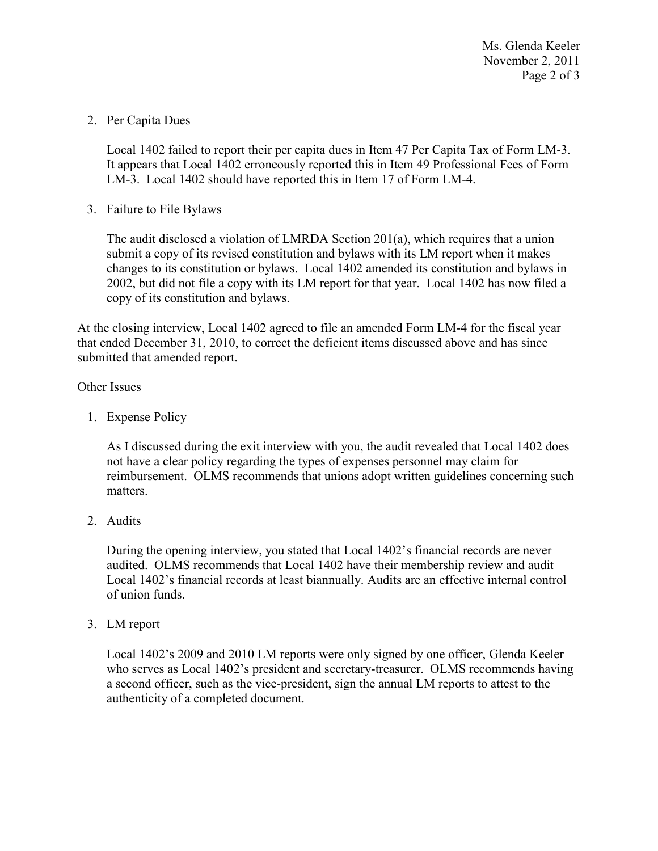Ms. Glenda Keeler November 2, 2011 Page 2 of 3

2. Per Capita Dues

Local 1402 failed to report their per capita dues in Item 47 Per Capita Tax of Form LM-3. It appears that Local 1402 erroneously reported this in Item 49 Professional Fees of Form LM-3. Local 1402 should have reported this in Item 17 of Form LM-4.

3. Failure to File Bylaws

The audit disclosed a violation of LMRDA Section 201(a), which requires that a union submit a copy of its revised constitution and bylaws with its LM report when it makes changes to its constitution or bylaws. Local 1402 amended its constitution and bylaws in 2002, but did not file a copy with its LM report for that year. Local 1402 has now filed a copy of its constitution and bylaws.

At the closing interview, Local 1402 agreed to file an amended Form LM-4 for the fiscal year that ended December 31, 2010, to correct the deficient items discussed above and has since submitted that amended report.

## Other Issues

1. Expense Policy

As I discussed during the exit interview with you, the audit revealed that Local 1402 does not have a clear policy regarding the types of expenses personnel may claim for reimbursement. OLMS recommends that unions adopt written guidelines concerning such matters.

2. Audits

During the opening interview, you stated that Local 1402's financial records are never audited. OLMS recommends that Local 1402 have their membership review and audit Local 1402's financial records at least biannually. Audits are an effective internal control of union funds.

3. LM report

Local 1402's 2009 and 2010 LM reports were only signed by one officer, Glenda Keeler who serves as Local 1402's president and secretary-treasurer. OLMS recommends having a second officer, such as the vice-president, sign the annual LM reports to attest to the authenticity of a completed document.